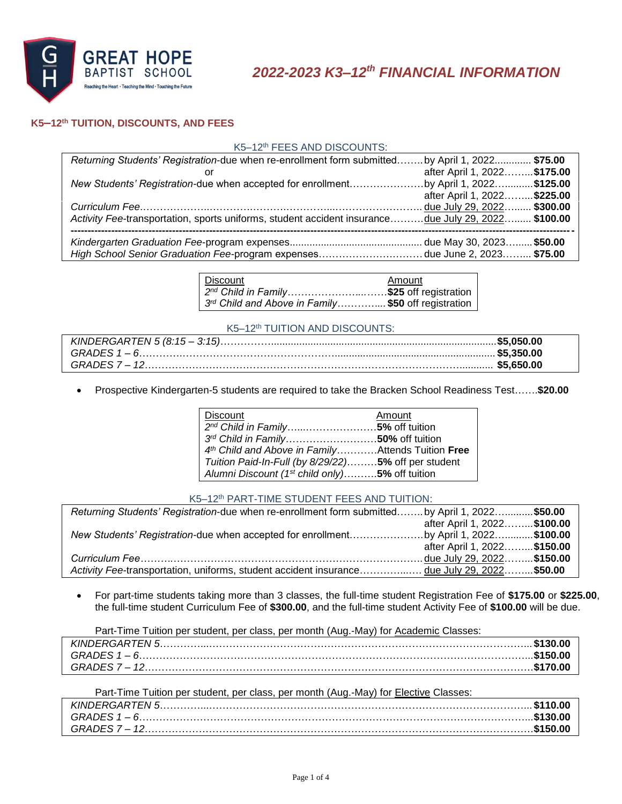

# **K5–12th TUITION, DISCOUNTS, AND FEES**

### K5–12th FEES AND DISCOUNTS:

| Returning Students' Registration-due when re-enrollment form submittedby April 1, 2022 \$75.00     |                              |  |
|----------------------------------------------------------------------------------------------------|------------------------------|--|
|                                                                                                    | after April 1, 2022 \$175.00 |  |
| New Students' Registration-due when accepted for enrollmentby April 1, 2022\$125.00                |                              |  |
|                                                                                                    | after April 1, 2022 \$225.00 |  |
|                                                                                                    |                              |  |
| Activity Fee-transportation, sports uniforms, student accident insurancedue July 29, 2022 \$100.00 |                              |  |
|                                                                                                    |                              |  |
|                                                                                                    |                              |  |
| High School Senior Graduation Fee-program expensesdue June 2, 2023 \$75.00                         |                              |  |

| l Discount                                                                     | Amount |
|--------------------------------------------------------------------------------|--------|
| $\vert$ 2 <sup>nd</sup> Child in Family\$25 off registration $\vert$           |        |
| $\vert$ 3 <sup>rd</sup> Child and Above in Family\$50 off registration $\vert$ |        |

#### K5–12th TUITION AND DISCOUNTS:

Prospective Kindergarten-5 students are required to take the Bracken School Readiness Test…….**\$20.00**

| Discount                                                   | Amount |
|------------------------------------------------------------|--------|
| 2 <sup>nd</sup> Child in Family5% off tuition              |        |
| 3rd Child in Family50% off tuition                         |        |
| 4th Child and Above in Family Attends Tuition Free         |        |
| Tuition Paid-In-Full (by 8/29/22)5% off per student        |        |
| Alumni Discount (1 <sup>st</sup> child only)5% off tuition |        |

### K5-12th PART-TIME STUDENT FEES AND TUITION:

| Returning Students' Registration-due when re-enrollment form submitted by April 1, 2022\$50.00 |                              |  |
|------------------------------------------------------------------------------------------------|------------------------------|--|
|                                                                                                | after April 1, 2022 \$100.00 |  |
| New Students' Registration-due when accepted for enrollmentby April 1, 2022\$100.00            |                              |  |
|                                                                                                | after April 1, 2022 \$150.00 |  |
|                                                                                                |                              |  |
| Activity Fee-transportation, uniforms, student accident insurancedue July 29, 2022\$50.00      |                              |  |

 For part-time students taking more than 3 classes, the full-time student Registration Fee of **\$175.00** or **\$225.00**, the full-time student Curriculum Fee of **\$300.00**, and the full-time student Activity Fee of **\$100.00** will be due.

|  |  |  |  | Part-Time Tuition per student, per class, per month (Aug.-May) for Academic Classes: |  |
|--|--|--|--|--------------------------------------------------------------------------------------|--|
|--|--|--|--|--------------------------------------------------------------------------------------|--|

| KINDERGARTEN 5 |  |
|----------------|--|
| GRADES $1 - 6$ |  |
| GRADES 7 – 12. |  |

| Part-Time Tuition per student, per class, per month (Aug.-May) for Elective Classes: |  |
|--------------------------------------------------------------------------------------|--|
|                                                                                      |  |
|                                                                                      |  |
|                                                                                      |  |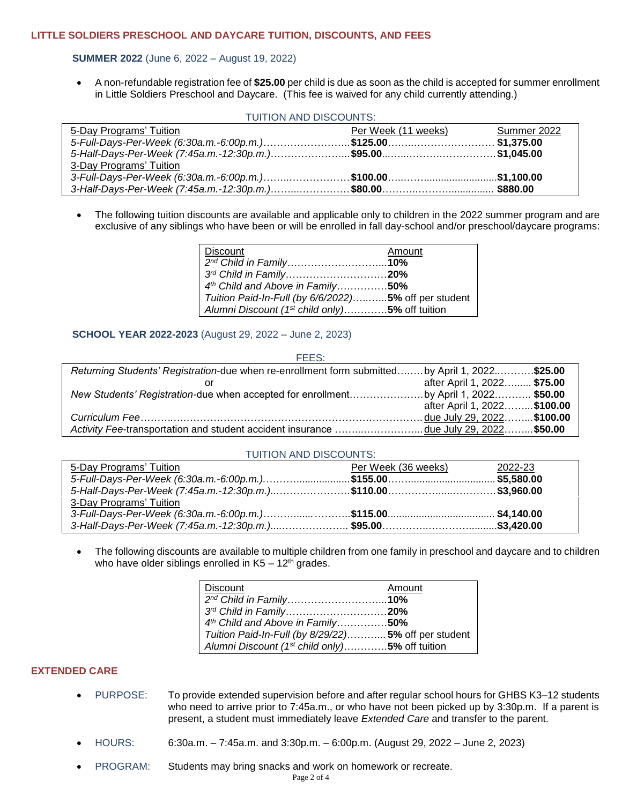#### **LITTLE SOLDIERS PRESCHOOL AND DAYCARE TUITION, DISCOUNTS, AND FEES**

## **SUMMER 2022** (June 6, 2022 – August 19, 2022)

 A non-refundable registration fee of **\$25.00** per child is due as soon as the child is accepted for summer enrollment in Little Soldiers Preschool and Daycare. (This fee is waived for any child currently attending.)

| TUITION AND DISCOUNTS:                                     |                             |             |  |
|------------------------------------------------------------|-----------------------------|-------------|--|
| 5-Day Programs' Tuition                                    | Per We <u>ek (11 weeks)</u> | Summer 2022 |  |
| 5-Full-Days-Per-Week (6:30a.m.-6:00p.m.)\$125.00\$1,375.00 |                             |             |  |
|                                                            |                             |             |  |
| 3-Day Programs' Tuition                                    |                             |             |  |
|                                                            |                             |             |  |
|                                                            |                             |             |  |

 The following tuition discounts are available and applicable only to children in the 2022 summer program and are exclusive of any siblings who have been or will be enrolled in fall day-school and/or preschool/daycare programs:

| <b>Discount</b>                                            | Amount |
|------------------------------------------------------------|--------|
| 2 <sup>nd</sup> Child in Family10%                         |        |
| 3rd Child in Family20%                                     |        |
| 4th Child and Above in Family50%                           |        |
| Tuition Paid-In-Full (by 6/6/2022)5% off per student       |        |
| Alumni Discount (1 <sup>st</sup> child only)5% off tuition |        |

**SCHOOL YEAR 2022-2023** (August 29, 2022 – June 2, 2023)

| FEES:                                                                                         |                              |  |
|-----------------------------------------------------------------------------------------------|------------------------------|--|
| Returning Students' Registration-due when re-enrollment form submittedby April 1, 2022\$25.00 |                              |  |
|                                                                                               | after April 1, 2022 \$75.00  |  |
|                                                                                               |                              |  |
|                                                                                               | after April 1, 2022 \$100.00 |  |
|                                                                                               |                              |  |
| Activity Fee-transportation and student accident insurance due July 29, 2022\$50.00           |                              |  |
|                                                                                               |                              |  |

#### TUITION AND DISCOUNTS:

| 2022-23 |
|---------|
|         |
|         |
|         |
|         |
|         |
|         |

• The following discounts are available to multiple children from one family in preschool and daycare and to children who have older siblings enrolled in  $K5 - 12$ <sup>th</sup> grades.

| Discount                                                   | Amount |
|------------------------------------------------------------|--------|
| 2 <sup>nd</sup> Child in Family10%                         |        |
| 3rd Child in Family20%                                     |        |
| 4 <sup>th</sup> Child and Above in Family50%               |        |
| Tuition Paid-In-Full (by 8/29/22) 5% off per student       |        |
| Alumni Discount (1 <sup>st</sup> child only)5% off tuition |        |

# **EXTENDED CARE**

- PURPOSE: To provide extended supervision before and after regular school hours for GHBS K3–12 students who need to arrive prior to 7:45a.m., or who have not been picked up by 3:30p.m. If a parent is present, a student must immediately leave *Extended Care* and transfer to the parent.
- HOURS: 6:30a.m. 7:45a.m. and 3:30p.m. 6:00p.m. (August 29, 2022 June 2, 2023)
- PROGRAM: Students may bring snacks and work on homework or recreate.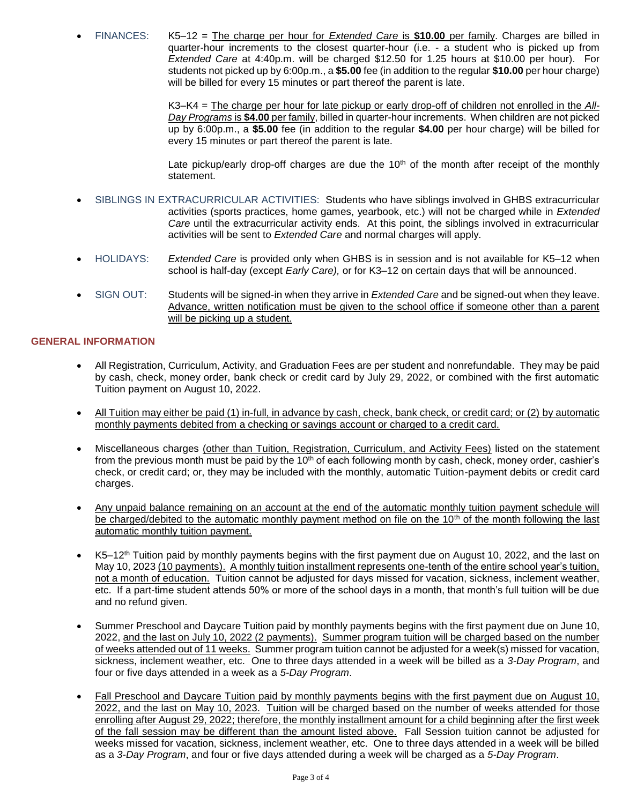FINANCES: K5–12 = The charge per hour for *Extended Care* is **\$10.00** per family. Charges are billed in quarter-hour increments to the closest quarter-hour (i.e. - a student who is picked up from *Extended Care* at 4:40p.m. will be charged \$12.50 for 1.25 hours at \$10.00 per hour). For students not picked up by 6:00p.m., a **\$5.00** fee (in addition to the regular **\$10.00** per hour charge) will be billed for every 15 minutes or part thereof the parent is late.

> K3–K4 = The charge per hour for late pickup or early drop-off of children not enrolled in the *All-Day Programs* is **\$4.00** per family, billed in quarter-hour increments. When children are not picked up by 6:00p.m., a **\$5.00** fee (in addition to the regular **\$4.00** per hour charge) will be billed for every 15 minutes or part thereof the parent is late.

> Late pickup/early drop-off charges are due the  $10<sup>th</sup>$  of the month after receipt of the monthly statement.

- SIBLINGS IN EXTRACURRICULAR ACTIVITIES: Students who have siblings involved in GHBS extracurricular activities (sports practices, home games, yearbook, etc.) will not be charged while in *Extended Care* until the extracurricular activity ends. At this point, the siblings involved in extracurricular activities will be sent to *Extended Care* and normal charges will apply.
- HOLIDAYS: *Extended Care* is provided only when GHBS is in session and is not available for K5–12 when school is half-day (except *Early Care),* or for K3–12 on certain days that will be announced.
- SIGN OUT: Students will be signed-in when they arrive in *Extended Care* and be signed-out when they leave. Advance, written notification must be given to the school office if someone other than a parent will be picking up a student.

### **GENERAL INFORMATION**

- All Registration, Curriculum, Activity, and Graduation Fees are per student and nonrefundable. They may be paid by cash, check, money order, bank check or credit card by July 29, 2022, or combined with the first automatic Tuition payment on August 10, 2022.
- All Tuition may either be paid (1) in-full, in advance by cash, check, bank check, or credit card; or (2) by automatic monthly payments debited from a checking or savings account or charged to a credit card.
- Miscellaneous charges (other than Tuition, Registration, Curriculum, and Activity Fees) listed on the statement from the previous month must be paid by the 10<sup>th</sup> of each following month by cash, check, money order, cashier's check, or credit card; or, they may be included with the monthly, automatic Tuition-payment debits or credit card charges.
- Any unpaid balance remaining on an account at the end of the automatic monthly tuition payment schedule will be charged/debited to the automatic monthly payment method on file on the 10<sup>th</sup> of the month following the last automatic monthly tuition payment.
- K5–12th Tuition paid by monthly payments begins with the first payment due on August 10, 2022, and the last on May 10, 2023 (10 payments). A monthly tuition installment represents one-tenth of the entire school year's tuition, not a month of education. Tuition cannot be adjusted for days missed for vacation, sickness, inclement weather, etc. If a part-time student attends 50% or more of the school days in a month, that month's full tuition will be due and no refund given.
- Summer Preschool and Daycare Tuition paid by monthly payments begins with the first payment due on June 10, 2022, and the last on July 10, 2022 (2 payments). Summer program tuition will be charged based on the number of weeks attended out of 11 weeks. Summer program tuition cannot be adjusted for a week(s) missed for vacation, sickness, inclement weather, etc. One to three days attended in a week will be billed as a *3-Day Program*, and four or five days attended in a week as a *5-Day Program*.
- Fall Preschool and Daycare Tuition paid by monthly payments begins with the first payment due on August 10, 2022, and the last on May 10, 2023. Tuition will be charged based on the number of weeks attended for those enrolling after August 29, 2022; therefore, the monthly installment amount for a child beginning after the first week of the fall session may be different than the amount listed above. Fall Session tuition cannot be adjusted for weeks missed for vacation, sickness, inclement weather, etc. One to three days attended in a week will be billed as a *3-Day Program*, and four or five days attended during a week will be charged as a *5-Day Program*.